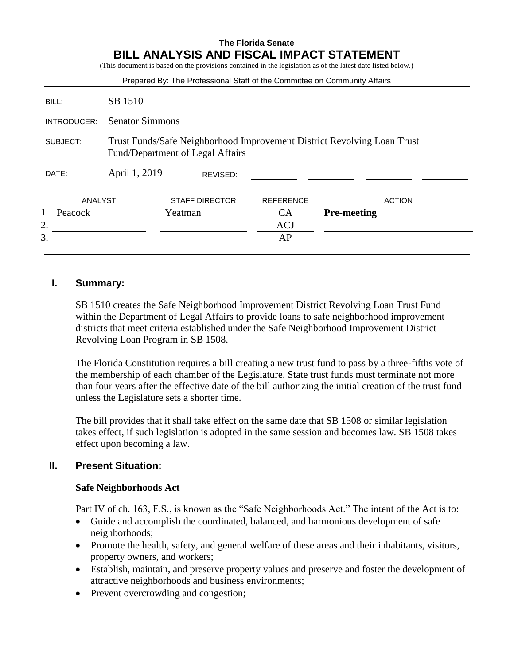|             |                                                                                                             | Prepared By: The Professional Staff of the Committee on Community Affairs |                  |                    |
|-------------|-------------------------------------------------------------------------------------------------------------|---------------------------------------------------------------------------|------------------|--------------------|
| BILL:       | SB 1510                                                                                                     |                                                                           |                  |                    |
| INTRODUCER: | <b>Senator Simmons</b>                                                                                      |                                                                           |                  |                    |
| SUBJECT:    | Trust Funds/Safe Neighborhood Improvement District Revolving Loan Trust<br>Fund/Department of Legal Affairs |                                                                           |                  |                    |
| DATE:       | April 1, 2019<br>REVISED:                                                                                   |                                                                           |                  |                    |
| ANALYST     |                                                                                                             | <b>STAFF DIRECTOR</b>                                                     | <b>REFERENCE</b> | <b>ACTION</b>      |
| Peacock     |                                                                                                             | Yeatman                                                                   | CA               | <b>Pre-meeting</b> |
| 2.          |                                                                                                             |                                                                           | ACJ              |                    |
|             |                                                                                                             |                                                                           | AP               |                    |

### **I. Summary:**

SB 1510 creates the Safe Neighborhood Improvement District Revolving Loan Trust Fund within the Department of Legal Affairs to provide loans to safe neighborhood improvement districts that meet criteria established under the Safe Neighborhood Improvement District Revolving Loan Program in SB 1508.

The Florida Constitution requires a bill creating a new trust fund to pass by a three-fifths vote of the membership of each chamber of the Legislature. State trust funds must terminate not more than four years after the effective date of the bill authorizing the initial creation of the trust fund unless the Legislature sets a shorter time.

The bill provides that it shall take effect on the same date that SB 1508 or similar legislation takes effect, if such legislation is adopted in the same session and becomes law. SB 1508 takes effect upon becoming a law.

# **II. Present Situation:**

#### **Safe Neighborhoods Act**

Part IV of ch. 163, F.S., is known as the "Safe Neighborhoods Act." The intent of the Act is to:

- Guide and accomplish the coordinated, balanced, and harmonious development of safe neighborhoods;
- Promote the health, safety, and general welfare of these areas and their inhabitants, visitors, property owners, and workers;
- Establish, maintain, and preserve property values and preserve and foster the development of attractive neighborhoods and business environments;
- Prevent overcrowding and congestion;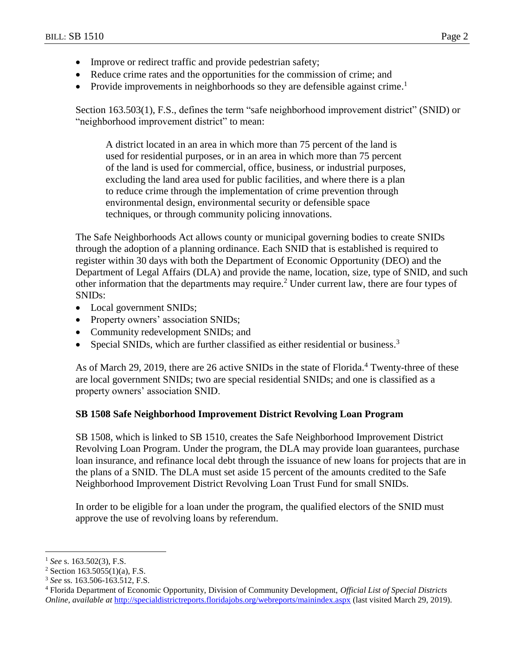- Improve or redirect traffic and provide pedestrian safety;
- Reduce crime rates and the opportunities for the commission of crime; and
- Provide improvements in neighborhoods so they are defensible against crime.<sup>1</sup>

Section 163.503(1), F.S., defines the term "safe neighborhood improvement district" (SNID) or "neighborhood improvement district" to mean:

A district located in an area in which more than 75 percent of the land is used for residential purposes, or in an area in which more than 75 percent of the land is used for commercial, office, business, or industrial purposes, excluding the land area used for public facilities, and where there is a plan to reduce crime through the implementation of crime prevention through environmental design, environmental security or defensible space techniques, or through community policing innovations.

The Safe Neighborhoods Act allows county or municipal governing bodies to create SNIDs through the adoption of a planning ordinance. Each SNID that is established is required to register within 30 days with both the Department of Economic Opportunity (DEO) and the Department of Legal Affairs (DLA) and provide the name, location, size, type of SNID, and such other information that the departments may require.<sup>2</sup> Under current law, there are four types of SNIDs:

- Local government SNIDs;
- Property owners' association SNIDs;
- Community redevelopment SNIDs; and
- Special SNIDs, which are further classified as either residential or business.<sup>3</sup>

As of March 29, 2019, there are 26 active SNIDs in the state of Florida.<sup>4</sup> Twenty-three of these are local government SNIDs; two are special residential SNIDs; and one is classified as a property owners' association SNID.

# **SB 1508 Safe Neighborhood Improvement District Revolving Loan Program**

SB 1508, which is linked to SB 1510, creates the Safe Neighborhood Improvement District Revolving Loan Program. Under the program, the DLA may provide loan guarantees, purchase loan insurance, and refinance local debt through the issuance of new loans for projects that are in the plans of a SNID. The DLA must set aside 15 percent of the amounts credited to the Safe Neighborhood Improvement District Revolving Loan Trust Fund for small SNIDs.

In order to be eligible for a loan under the program, the qualified electors of the SNID must approve the use of revolving loans by referendum.

 $\overline{a}$ 

<sup>1</sup> *See* s. 163.502(3), F.S.

<sup>&</sup>lt;sup>2</sup> Section 163.5055(1)(a), F.S.

<sup>3</sup> *See* ss. 163.506-163.512, F.S.

<sup>4</sup> Florida Department of Economic Opportunity, Division of Community Development, *Official List of Special Districts Online*, *available at* <http://specialdistrictreports.floridajobs.org/webreports/mainindex.aspx> (last visited March 29, 2019).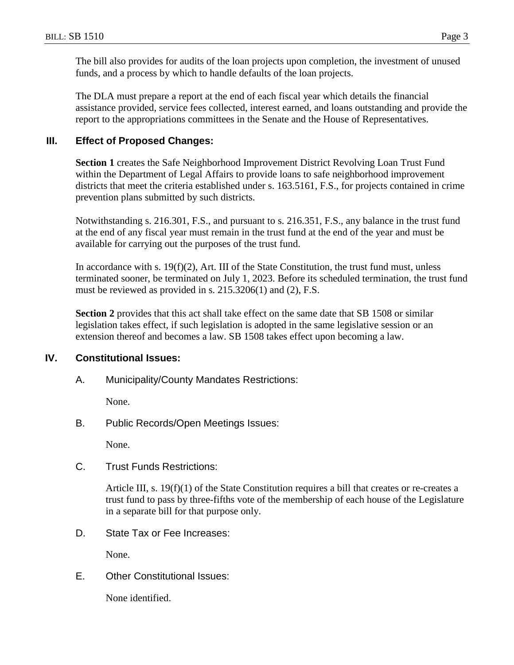The bill also provides for audits of the loan projects upon completion, the investment of unused funds, and a process by which to handle defaults of the loan projects.

The DLA must prepare a report at the end of each fiscal year which details the financial assistance provided, service fees collected, interest earned, and loans outstanding and provide the report to the appropriations committees in the Senate and the House of Representatives.

## **III. Effect of Proposed Changes:**

**Section 1** creates the Safe Neighborhood Improvement District Revolving Loan Trust Fund within the Department of Legal Affairs to provide loans to safe neighborhood improvement districts that meet the criteria established under s. 163.5161, F.S., for projects contained in crime prevention plans submitted by such districts.

Notwithstanding s. 216.301, F.S., and pursuant to s. 216.351, F.S., any balance in the trust fund at the end of any fiscal year must remain in the trust fund at the end of the year and must be available for carrying out the purposes of the trust fund.

In accordance with s.  $19(f)(2)$ , Art. III of the State Constitution, the trust fund must, unless terminated sooner, be terminated on July 1, 2023. Before its scheduled termination, the trust fund must be reviewed as provided in s. 215.3206(1) and (2), F.S.

**Section 2** provides that this act shall take effect on the same date that SB 1508 or similar legislation takes effect, if such legislation is adopted in the same legislative session or an extension thereof and becomes a law. SB 1508 takes effect upon becoming a law.

# **IV. Constitutional Issues:**

A. Municipality/County Mandates Restrictions:

None.

B. Public Records/Open Meetings Issues:

None.

C. Trust Funds Restrictions:

Article III, s. 19(f)(1) of the State Constitution requires a bill that creates or re-creates a trust fund to pass by three-fifths vote of the membership of each house of the Legislature in a separate bill for that purpose only.

D. State Tax or Fee Increases:

None.

E. Other Constitutional Issues:

None identified.